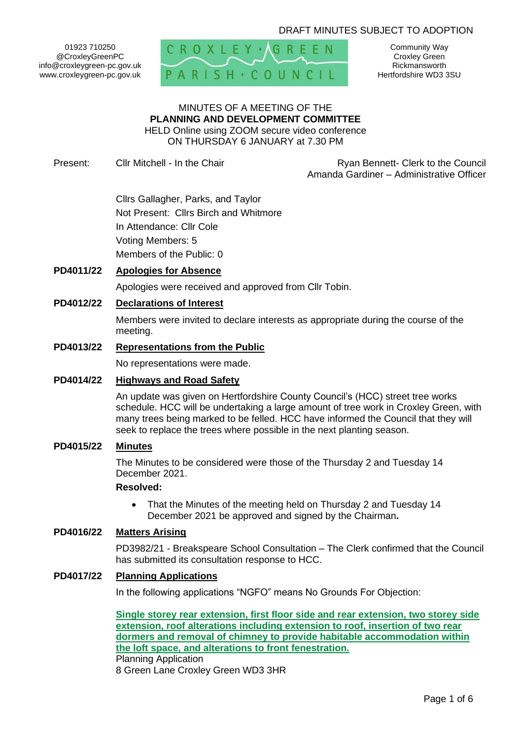## DRAFT MINUTES SUBJECT TO ADOPTION

01923 710250 @CroxleyGreenPC info@croxleygreen-pc.gov.uk www.croxleygreen-pc.gov.uk



Community Way Croxley Green Rickmansworth Hertfordshire WD3 3SU

#### MINUTES OF A MEETING OF THE **PLANNING AND DEVELOPMENT COMMITTEE** HELD Online using ZOOM secure video conference ON THURSDAY 6 JANUARY at 7.30 PM

Present: Cllr Mitchell - In the Chair **Research Ryan Bennett- Clerk to the Council** Amanda Gardiner – Administrative Officer

> Cllrs Gallagher, Parks, and Taylor Not Present: Cllrs Birch and Whitmore In Attendance: Cllr Cole Voting Members: 5 Members of the Public: 0

# **PD4011/22 Apologies for Absence**

Apologies were received and approved from Cllr Tobin.

## **PD4012/22 Declarations of Interest**

Members were invited to declare interests as appropriate during the course of the meeting.

#### **PD4013/22 Representations from the Public**

No representations were made.

#### **PD4014/22 Highways and Road Safety**

An update was given on Hertfordshire County Council's (HCC) street tree works schedule. HCC will be undertaking a large amount of tree work in Croxley Green, with many trees being marked to be felled. HCC have informed the Council that they will seek to replace the trees where possible in the next planting season.

#### **PD4015/22 Minutes**

The Minutes to be considered were those of the Thursday 2 and Tuesday 14 December 2021.

#### **Resolved:**

• That the Minutes of the meeting held on Thursday 2 and Tuesday 14 December 2021 be approved and signed by the Chairman**.**

### **PD4016/22 Matters Arising**

PD3982/21 - Breakspeare School Consultation – The Clerk confirmed that the Council has submitted its consultation response to HCC.

### **PD4017/22 Planning Applications**

In the following applications "NGFO" means No Grounds For Objection:

**[Single storey rear extension, first floor side and rear extension, two storey side](https://www3.threerivers.gov.uk/online-applications/applicationDetails.do?activeTab=summary&keyVal=R3SED1QFI6I00&prevPage=inTray)  [extension, roof alterations including extension to roof, insertion of two rear](https://www3.threerivers.gov.uk/online-applications/applicationDetails.do?activeTab=summary&keyVal=R3SED1QFI6I00&prevPage=inTray)  [dormers and removal of chimney to provide habitable accommodation within](https://www3.threerivers.gov.uk/online-applications/applicationDetails.do?activeTab=summary&keyVal=R3SED1QFI6I00&prevPage=inTray)  [the loft space, and alterations to front fenestration.](https://www3.threerivers.gov.uk/online-applications/applicationDetails.do?activeTab=summary&keyVal=R3SED1QFI6I00&prevPage=inTray)** Planning Application 8 Green Lane Croxley Green WD3 3HR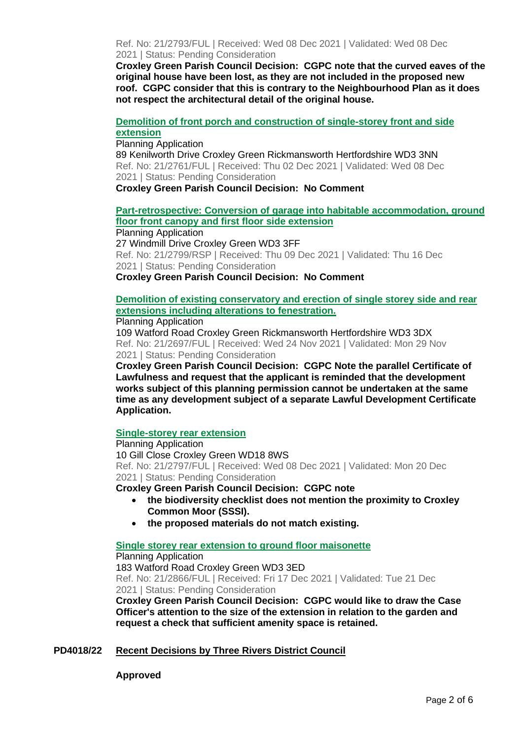Ref. No: 21/2793/FUL | Received: Wed 08 Dec 2021 | Validated: Wed 08 Dec 2021 | Status: Pending Consideration

**Croxley Green Parish Council Decision: CGPC note that the curved eaves of the original house have been lost, as they are not included in the proposed new roof. CGPC consider that this is contrary to the Neighbourhood Plan as it does not respect the architectural detail of the original house.**

## **[Demolition of front porch and construction of single-storey front and side](https://www3.threerivers.gov.uk/online-applications/applicationDetails.do?activeTab=summary&keyVal=R3HH43QF0DC00&prevPage=inTray)  [extension](https://www3.threerivers.gov.uk/online-applications/applicationDetails.do?activeTab=summary&keyVal=R3HH43QF0DC00&prevPage=inTray)**

Planning Application

89 Kenilworth Drive Croxley Green Rickmansworth Hertfordshire WD3 3NN Ref. No: 21/2761/FUL | Received: Thu 02 Dec 2021 | Validated: Wed 08 Dec 2021 | Status: Pending Consideration

**Croxley Green Parish Council Decision: No Comment**

# **[Part-retrospective: Conversion of garage into habitable accommodation, ground](https://www3.threerivers.gov.uk/online-applications/applicationDetails.do?activeTab=summary&keyVal=R3U8WJQFI6W00&prevPage=inTray)  [floor front canopy and first floor side extension](https://www3.threerivers.gov.uk/online-applications/applicationDetails.do?activeTab=summary&keyVal=R3U8WJQFI6W00&prevPage=inTray)**

Planning Application 27 Windmill Drive Croxley Green WD3 3FF Ref. No: 21/2799/RSP | Received: Thu 09 Dec 2021 | Validated: Thu 16 Dec 2021 | Status: Pending Consideration **Croxley Green Parish Council Decision: No Comment**

# **[Demolition of existing conservatory and erection of single storey side and rear](https://www3.threerivers.gov.uk/online-applications/applicationDetails.do?activeTab=summary&keyVal=R32ROTQF0DC00&prevPage=inTray)  [extensions including alterations to fenestration.](https://www3.threerivers.gov.uk/online-applications/applicationDetails.do?activeTab=summary&keyVal=R32ROTQF0DC00&prevPage=inTray)**

## Planning Application

109 Watford Road Croxley Green Rickmansworth Hertfordshire WD3 3DX Ref. No: 21/2697/FUL | Received: Wed 24 Nov 2021 | Validated: Mon 29 Nov 2021 | Status: Pending Consideration

**Croxley Green Parish Council Decision: CGPC Note the parallel Certificate of Lawfulness and request that the applicant is reminded that the development works subject of this planning permission cannot be undertaken at the same time as any development subject of a separate Lawful Development Certificate Application.**

## **[Single-storey rear extension](https://www3.threerivers.gov.uk/online-applications/applicationDetails.do?activeTab=summary&keyVal=R3SEEJQFI6Q00&prevPage=inTray)**

Planning Application 10 Gill Close Croxley Green WD18 8WS Ref. No: 21/2797/FUL | Received: Wed 08 Dec 2021 | Validated: Mon 20 Dec 2021 | Status: Pending Consideration

**Croxley Green Parish Council Decision: CGPC note** 

- **the biodiversity checklist does not mention the proximity to Croxley Common Moor (SSSI).**
- **the proposed materials do not match existing.**

## **[Single storey rear extension to ground floor maisonette](https://www3.threerivers.gov.uk/online-applications/applicationDetails.do?activeTab=summary&keyVal=R492DRQFIAZ00&prevPage=inTray)**

Planning Application 183 Watford Road Croxley Green WD3 3ED Ref. No: 21/2866/FUL | Received: Fri 17 Dec 2021 | Validated: Tue 21 Dec 2021 | Status: Pending Consideration

**Croxley Green Parish Council Decision: CGPC would like to draw the Case Officer's attention to the size of the extension in relation to the garden and request a check that sufficient amenity space is retained.**

# **PD4018/22 Recent Decisions by Three Rivers District Council**

**Approved**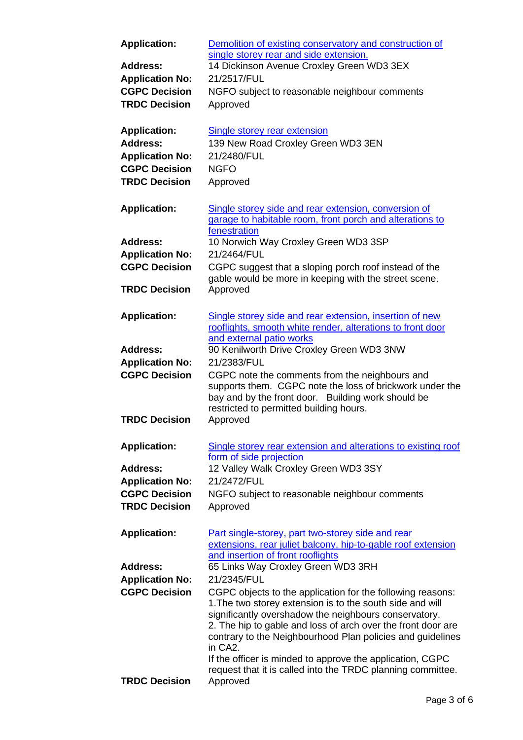| <b>Application:</b><br><b>Address:</b>         | Demolition of existing conservatory and construction of<br>single storey rear and side extension.<br>14 Dickinson Avenue Croxley Green WD3 3EX                                                                                                              |
|------------------------------------------------|-------------------------------------------------------------------------------------------------------------------------------------------------------------------------------------------------------------------------------------------------------------|
|                                                | 21/2517/FUL                                                                                                                                                                                                                                                 |
| <b>Application No:</b><br><b>CGPC Decision</b> |                                                                                                                                                                                                                                                             |
|                                                | NGFO subject to reasonable neighbour comments                                                                                                                                                                                                               |
| <b>TRDC Decision</b>                           | Approved                                                                                                                                                                                                                                                    |
| <b>Application:</b>                            | <b>Single storey rear extension</b>                                                                                                                                                                                                                         |
| <b>Address:</b>                                | 139 New Road Croxley Green WD3 3EN                                                                                                                                                                                                                          |
| <b>Application No:</b>                         | 21/2480/FUL                                                                                                                                                                                                                                                 |
| <b>CGPC Decision</b>                           | <b>NGFO</b>                                                                                                                                                                                                                                                 |
| <b>TRDC Decision</b>                           | Approved                                                                                                                                                                                                                                                    |
| <b>Application:</b>                            | Single storey side and rear extension, conversion of<br>garage to habitable room, front porch and alterations to                                                                                                                                            |
| <b>Address:</b>                                | fenestration                                                                                                                                                                                                                                                |
|                                                | 10 Norwich Way Croxley Green WD3 3SP                                                                                                                                                                                                                        |
| <b>Application No:</b>                         | 21/2464/FUL                                                                                                                                                                                                                                                 |
| <b>CGPC Decision</b>                           | CGPC suggest that a sloping porch roof instead of the<br>gable would be more in keeping with the street scene.                                                                                                                                              |
| <b>TRDC Decision</b>                           | Approved                                                                                                                                                                                                                                                    |
| <b>Application:</b>                            | Single storey side and rear extension, insertion of new<br>rooflights, smooth white render, alterations to front door                                                                                                                                       |
|                                                | and external patio works                                                                                                                                                                                                                                    |
| <b>Address:</b>                                | 90 Kenilworth Drive Croxley Green WD3 3NW                                                                                                                                                                                                                   |
| <b>Application No:</b>                         | 21/2383/FUL                                                                                                                                                                                                                                                 |
| <b>CGPC Decision</b>                           | CGPC note the comments from the neighbours and<br>supports them. CGPC note the loss of brickwork under the<br>bay and by the front door. Building work should be<br>restricted to permitted building hours.                                                 |
| <b>TRDC Decision</b>                           | Approved                                                                                                                                                                                                                                                    |
| <b>Application:</b>                            | Single storey rear extension and alterations to existing roof<br>form of side projection                                                                                                                                                                    |
| <b>Address:</b>                                | 12 Valley Walk Croxley Green WD3 3SY                                                                                                                                                                                                                        |
| <b>Application No:</b>                         | 21/2472/FUL                                                                                                                                                                                                                                                 |
| <b>CGPC Decision</b>                           | NGFO subject to reasonable neighbour comments                                                                                                                                                                                                               |
| <b>TRDC Decision</b>                           | Approved                                                                                                                                                                                                                                                    |
| <b>Application:</b>                            | Part single-storey, part two-storey side and rear<br>extensions, rear juliet balcony, hip-to-gable roof extension<br>and insertion of front rooflights                                                                                                      |
| <b>Address:</b>                                | 65 Links Way Croxley Green WD3 3RH                                                                                                                                                                                                                          |
| <b>Application No:</b>                         | 21/2345/FUL                                                                                                                                                                                                                                                 |
| <b>CGPC Decision</b>                           | CGPC objects to the application for the following reasons:                                                                                                                                                                                                  |
|                                                | 1. The two storey extension is to the south side and will<br>significantly overshadow the neighbours conservatory.<br>2. The hip to gable and loss of arch over the front door are<br>contrary to the Neighbourhood Plan policies and guidelines<br>in CA2. |
| <b>TRDC Decision</b>                           | If the officer is minded to approve the application, CGPC<br>request that it is called into the TRDC planning committee.<br>Approved                                                                                                                        |
|                                                |                                                                                                                                                                                                                                                             |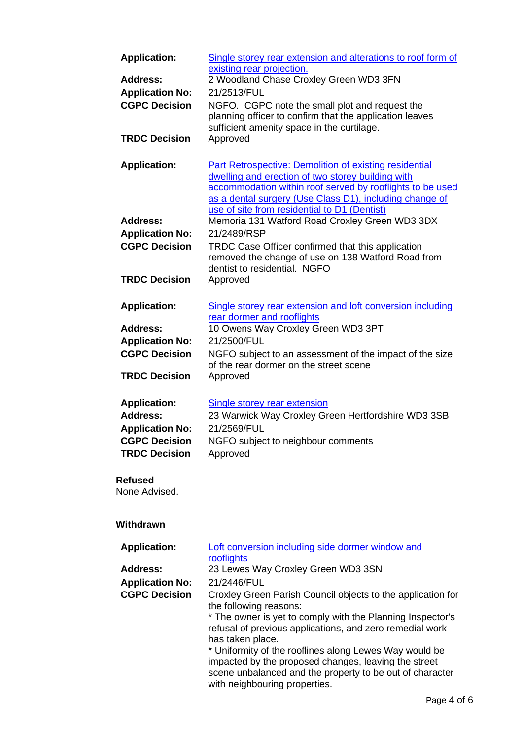| <b>Application:</b><br>Address:<br><b>Application No:</b><br><b>CGPC Decision</b><br><b>TRDC Decision</b>        | Single storey rear extension and alterations to roof form of<br>existing rear projection.<br>2 Woodland Chase Croxley Green WD3 3FN<br>21/2513/FUL<br>NGFO. CGPC note the small plot and request the<br>planning officer to confirm that the application leaves<br>sufficient amenity space in the curtilage.<br>Approved |
|------------------------------------------------------------------------------------------------------------------|---------------------------------------------------------------------------------------------------------------------------------------------------------------------------------------------------------------------------------------------------------------------------------------------------------------------------|
| <b>Application:</b>                                                                                              | Part Retrospective: Demolition of existing residential<br>dwelling and erection of two storey building with<br>accommodation within roof served by rooflights to be used<br>as a dental surgery (Use Class D1), including change of<br>use of site from residential to D1 (Dentist)                                       |
| <b>Address:</b>                                                                                                  | Memoria 131 Watford Road Croxley Green WD3 3DX                                                                                                                                                                                                                                                                            |
| <b>Application No:</b>                                                                                           | 21/2489/RSP                                                                                                                                                                                                                                                                                                               |
| <b>CGPC Decision</b>                                                                                             | TRDC Case Officer confirmed that this application<br>removed the change of use on 138 Watford Road from<br>dentist to residential. NGFO                                                                                                                                                                                   |
| <b>TRDC Decision</b>                                                                                             | Approved                                                                                                                                                                                                                                                                                                                  |
| <b>Application:</b>                                                                                              | Single storey rear extension and loft conversion including<br>rear dormer and rooflights                                                                                                                                                                                                                                  |
| <b>Address:</b>                                                                                                  | 10 Owens Way Croxley Green WD3 3PT                                                                                                                                                                                                                                                                                        |
| <b>Application No:</b>                                                                                           | 21/2500/FUL                                                                                                                                                                                                                                                                                                               |
| <b>CGPC Decision</b>                                                                                             | NGFO subject to an assessment of the impact of the size<br>of the rear dormer on the street scene                                                                                                                                                                                                                         |
| <b>TRDC Decision</b>                                                                                             | Approved                                                                                                                                                                                                                                                                                                                  |
| <b>Application:</b><br><b>Address:</b><br><b>Application No:</b><br><b>CGPC Decision</b><br><b>TRDC Decision</b> | Single storey rear extension<br>23 Warwick Way Croxley Green Hertfordshire WD3 3SB<br>21/2569/FUL<br>NGFO subject to neighbour comments<br>Approved                                                                                                                                                                       |
| Refused<br>None Advised.                                                                                         |                                                                                                                                                                                                                                                                                                                           |

# **Withdrawn**

| <b>Application:</b>    | Loft conversion including side dormer window and<br>rooflights                                                                                                                                              |
|------------------------|-------------------------------------------------------------------------------------------------------------------------------------------------------------------------------------------------------------|
| <b>Address:</b>        | 23 Lewes Way Croxley Green WD3 3SN                                                                                                                                                                          |
| <b>Application No:</b> | 21/2446/FUL                                                                                                                                                                                                 |
| <b>CGPC Decision</b>   | Croxley Green Parish Council objects to the application for<br>the following reasons:                                                                                                                       |
|                        | * The owner is yet to comply with the Planning Inspector's<br>refusal of previous applications, and zero remedial work<br>has taken place.                                                                  |
|                        | * Uniformity of the rooflines along Lewes Way would be<br>impacted by the proposed changes, leaving the street<br>scene unbalanced and the property to be out of character<br>with neighbouring properties. |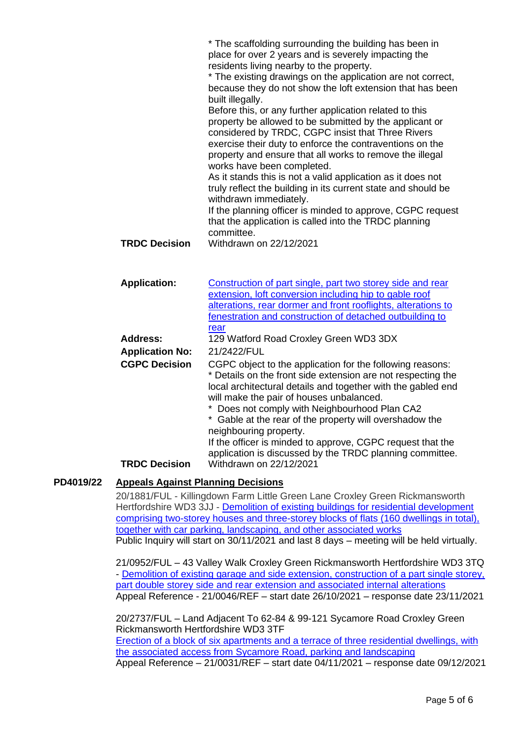|                        | * The scaffolding surrounding the building has been in<br>place for over 2 years and is severely impacting the<br>residents living nearby to the property.<br>* The existing drawings on the application are not correct,<br>because they do not show the loft extension that has been<br>built illegally.<br>Before this, or any further application related to this<br>property be allowed to be submitted by the applicant or                                                                    |
|------------------------|-----------------------------------------------------------------------------------------------------------------------------------------------------------------------------------------------------------------------------------------------------------------------------------------------------------------------------------------------------------------------------------------------------------------------------------------------------------------------------------------------------|
|                        | considered by TRDC, CGPC insist that Three Rivers<br>exercise their duty to enforce the contraventions on the<br>property and ensure that all works to remove the illegal<br>works have been completed.<br>As it stands this is not a valid application as it does not<br>truly reflect the building in its current state and should be                                                                                                                                                             |
|                        | withdrawn immediately.<br>If the planning officer is minded to approve, CGPC request<br>that the application is called into the TRDC planning                                                                                                                                                                                                                                                                                                                                                       |
| <b>TRDC Decision</b>   | committee.<br>Withdrawn on 22/12/2021                                                                                                                                                                                                                                                                                                                                                                                                                                                               |
| <b>Application:</b>    | Construction of part single, part two storey side and rear                                                                                                                                                                                                                                                                                                                                                                                                                                          |
|                        | extension, loft conversion including hip to gable roof<br>alterations, rear dormer and front rooflights, alterations to<br>fenestration and construction of detached outbuilding to                                                                                                                                                                                                                                                                                                                 |
| <b>Address:</b>        | rear<br>129 Watford Road Croxley Green WD3 3DX                                                                                                                                                                                                                                                                                                                                                                                                                                                      |
| <b>Application No:</b> | 21/2422/FUL                                                                                                                                                                                                                                                                                                                                                                                                                                                                                         |
| <b>CGPC Decision</b>   | CGPC object to the application for the following reasons:<br>* Details on the front side extension are not respecting the<br>local architectural details and together with the gabled end<br>will make the pair of houses unbalanced.<br>Does not comply with Neighbourhood Plan CA2<br>* Gable at the rear of the property will overshadow the<br>neighbouring property.<br>If the officer is minded to approve, CGPC request that the<br>application is discussed by the TRDC planning committee. |

# **PD4019/22 Appeals Against Planning Decisions**

20/1881/FUL - Killingdown Farm Little Green Lane Croxley Green Rickmansworth Hertfordshire WD3 3JJ - [Demolition of existing buildings for residential development](https://www3.threerivers.gov.uk/online-applications/applicationDetails.do?activeTab=summary&keyVal=QGG2ZQQF0D100&prevPage=inTray)  [comprising two-storey houses and three-storey blocks of flats \(160 dwellings in total\),](https://www3.threerivers.gov.uk/online-applications/applicationDetails.do?activeTab=summary&keyVal=QGG2ZQQF0D100&prevPage=inTray)  [together with car parking, landscaping, and other associated works](https://www3.threerivers.gov.uk/online-applications/applicationDetails.do?activeTab=summary&keyVal=QGG2ZQQF0D100&prevPage=inTray) Public Inquiry will start on 30/11/2021 and last 8 days – meeting will be held virtually.

21/0952/FUL – 43 Valley Walk Croxley Green Rickmansworth Hertfordshire WD3 3TQ - [Demolition of existing garage and side extension, construction of a part single storey,](https://www3.threerivers.gov.uk/online-applications/applicationDetails.do?activeTab=summary&keyVal=QRJKXJQFN5500&prevPage=inTray)  [part double storey side and rear extension and associated internal alterations](https://www3.threerivers.gov.uk/online-applications/applicationDetails.do?activeTab=summary&keyVal=QRJKXJQFN5500&prevPage=inTray) Appeal Reference - 21/0046/REF – start date 26/10/2021 – response date 23/11/2021

20/2737/FUL – Land Adjacent To 62-84 & 99-121 Sycamore Road Croxley Green Rickmansworth Hertfordshire WD3 3TF [Erection of a block of six apartments and a terrace of three residential dwellings, with](https://www3.threerivers.gov.uk/online-applications/applicationDetails.do?activeTab=summary&keyVal=QLIZOLQFLMZ00&prevPage=inTray)  [the associated access from Sycamore Road, parking and landscaping](https://www3.threerivers.gov.uk/online-applications/applicationDetails.do?activeTab=summary&keyVal=QLIZOLQFLMZ00&prevPage=inTray) Appeal Reference – 21/0031/REF – start date 04/11/2021 – response date 09/12/2021